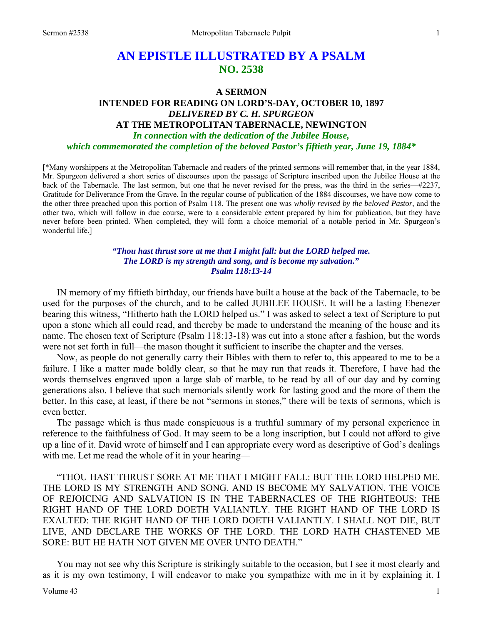# **AN EPISTLE ILLUSTRATED BY A PSALM NO. 2538**

#### **A SERMON**

## **INTENDED FOR READING ON LORD'S-DAY, OCTOBER 10, 1897**  *DELIVERED BY C. H. SPURGEON*  **AT THE METROPOLITAN TABERNACLE, NEWINGTON**

*In connection with the dedication of the Jubilee House, which commemorated the completion of the beloved Pastor's fiftieth year, June 19, 1884\** 

[\*Many worshippers at the Metropolitan Tabernacle and readers of the printed sermons will remember that, in the year 1884, Mr. Spurgeon delivered a short series of discourses upon the passage of Scripture inscribed upon the Jubilee House at the back of the Tabernacle. The last sermon, but one that he never revised for the press, was the third in the series—#2237, Gratitude for Deliverance From the Grave. In the regular course of publication of the 1884 discourses, we have now come to the other three preached upon this portion of Psalm 118. The present one was *wholly revised by the beloved Pastor*, and the other two, which will follow in due course, were to a considerable extent prepared by him for publication, but they have never before been printed. When completed, they will form a choice memorial of a notable period in Mr. Spurgeon's wonderful life.]

### *"Thou hast thrust sore at me that I might fall: but the LORD helped me. The LORD is my strength and song, and is become my salvation." Psalm 118:13-14*

IN memory of my fiftieth birthday, our friends have built a house at the back of the Tabernacle, to be used for the purposes of the church, and to be called JUBILEE HOUSE. It will be a lasting Ebenezer bearing this witness, "Hitherto hath the LORD helped us." I was asked to select a text of Scripture to put upon a stone which all could read, and thereby be made to understand the meaning of the house and its name. The chosen text of Scripture (Psalm 118:13-18) was cut into a stone after a fashion, but the words were not set forth in full—the mason thought it sufficient to inscribe the chapter and the verses.

Now, as people do not generally carry their Bibles with them to refer to, this appeared to me to be a failure. I like a matter made boldly clear, so that he may run that reads it. Therefore, I have had the words themselves engraved upon a large slab of marble, to be read by all of our day and by coming generations also. I believe that such memorials silently work for lasting good and the more of them the better. In this case, at least, if there be not "sermons in stones," there will be texts of sermons, which is even better.

The passage which is thus made conspicuous is a truthful summary of my personal experience in reference to the faithfulness of God. It may seem to be a long inscription, but I could not afford to give up a line of it. David wrote of himself and I can appropriate every word as descriptive of God's dealings with me. Let me read the whole of it in your hearing—

"THOU HAST THRUST SORE AT ME THAT I MIGHT FALL: BUT THE LORD HELPED ME. THE LORD IS MY STRENGTH AND SONG, AND IS BECOME MY SALVATION. THE VOICE OF REJOICING AND SALVATION IS IN THE TABERNACLES OF THE RIGHTEOUS: THE RIGHT HAND OF THE LORD DOETH VALIANTLY. THE RIGHT HAND OF THE LORD IS EXALTED: THE RIGHT HAND OF THE LORD DOETH VALIANTLY. I SHALL NOT DIE, BUT LIVE, AND DECLARE THE WORKS OF THE LORD. THE LORD HATH CHASTENED ME SORE: BUT HE HATH NOT GIVEN ME OVER UNTO DEATH."

You may not see why this Scripture is strikingly suitable to the occasion, but I see it most clearly and as it is my own testimony, I will endeavor to make you sympathize with me in it by explaining it. I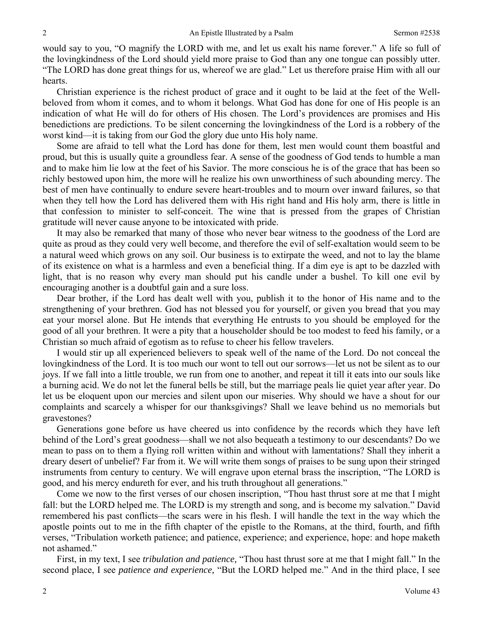would say to you, "O magnify the LORD with me, and let us exalt his name forever." A life so full of the lovingkindness of the Lord should yield more praise to God than any one tongue can possibly utter. "The LORD has done great things for us, whereof we are glad." Let us therefore praise Him with all our hearts.

Christian experience is the richest product of grace and it ought to be laid at the feet of the Wellbeloved from whom it comes, and to whom it belongs. What God has done for one of His people is an indication of what He will do for others of His chosen. The Lord's providences are promises and His benedictions are predictions. To be silent concerning the lovingkindness of the Lord is a robbery of the worst kind—it is taking from our God the glory due unto His holy name.

Some are afraid to tell what the Lord has done for them, lest men would count them boastful and proud, but this is usually quite a groundless fear. A sense of the goodness of God tends to humble a man and to make him lie low at the feet of his Savior. The more conscious he is of the grace that has been so richly bestowed upon him, the more will he realize his own unworthiness of such abounding mercy. The best of men have continually to endure severe heart-troubles and to mourn over inward failures, so that when they tell how the Lord has delivered them with His right hand and His holy arm, there is little in that confession to minister to self-conceit. The wine that is pressed from the grapes of Christian gratitude will never cause anyone to be intoxicated with pride.

It may also be remarked that many of those who never bear witness to the goodness of the Lord are quite as proud as they could very well become, and therefore the evil of self-exaltation would seem to be a natural weed which grows on any soil. Our business is to extirpate the weed, and not to lay the blame of its existence on what is a harmless and even a beneficial thing. If a dim eye is apt to be dazzled with light, that is no reason why every man should put his candle under a bushel. To kill one evil by encouraging another is a doubtful gain and a sure loss.

Dear brother, if the Lord has dealt well with you, publish it to the honor of His name and to the strengthening of your brethren. God has not blessed you for yourself, or given you bread that you may eat your morsel alone. But He intends that everything He entrusts to you should be employed for the good of all your brethren. It were a pity that a householder should be too modest to feed his family, or a Christian so much afraid of egotism as to refuse to cheer his fellow travelers.

I would stir up all experienced believers to speak well of the name of the Lord. Do not conceal the lovingkindness of the Lord. It is too much our wont to tell out our sorrows—let us not be silent as to our joys. If we fall into a little trouble, we run from one to another, and repeat it till it eats into our souls like a burning acid. We do not let the funeral bells be still, but the marriage peals lie quiet year after year. Do let us be eloquent upon our mercies and silent upon our miseries. Why should we have a shout for our complaints and scarcely a whisper for our thanksgivings? Shall we leave behind us no memorials but gravestones?

Generations gone before us have cheered us into confidence by the records which they have left behind of the Lord's great goodness—shall we not also bequeath a testimony to our descendants? Do we mean to pass on to them a flying roll written within and without with lamentations? Shall they inherit a dreary desert of unbelief? Far from it. We will write them songs of praises to be sung upon their stringed instruments from century to century. We will engrave upon eternal brass the inscription, "The LORD is good, and his mercy endureth for ever, and his truth throughout all generations."

Come we now to the first verses of our chosen inscription, "Thou hast thrust sore at me that I might fall: but the LORD helped me. The LORD is my strength and song, and is become my salvation." David remembered his past conflicts—the scars were in his flesh. I will handle the text in the way which the apostle points out to me in the fifth chapter of the epistle to the Romans, at the third, fourth, and fifth verses, "Tribulation worketh patience; and patience, experience; and experience, hope: and hope maketh not ashamed."

First, in my text, I see *tribulation and patience,* "Thou hast thrust sore at me that I might fall." In the second place, I see *patience and experience,* "But the LORD helped me." And in the third place, I see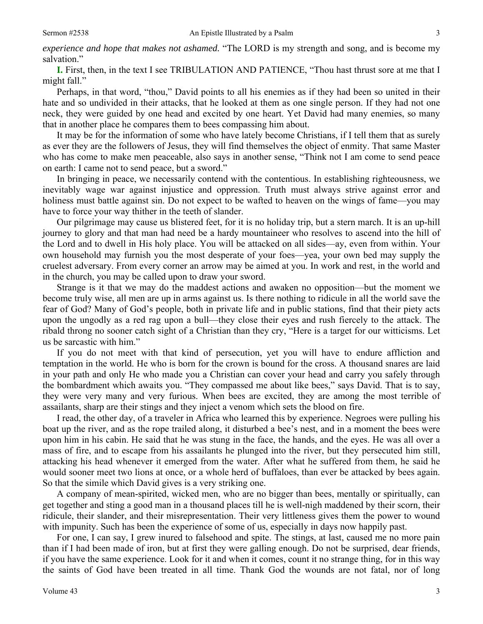*experience and hope that makes not ashamed.* "The LORD is my strength and song, and is become my salvation."

**I.** First, then, in the text I see TRIBULATION AND PATIENCE, "Thou hast thrust sore at me that I might fall."

Perhaps, in that word, "thou," David points to all his enemies as if they had been so united in their hate and so undivided in their attacks, that he looked at them as one single person. If they had not one neck, they were guided by one head and excited by one heart. Yet David had many enemies, so many that in another place he compares them to bees compassing him about.

It may be for the information of some who have lately become Christians, if I tell them that as surely as ever they are the followers of Jesus, they will find themselves the object of enmity. That same Master who has come to make men peaceable, also says in another sense, "Think not I am come to send peace on earth: I came not to send peace, but a sword."

In bringing in peace, we necessarily contend with the contentious. In establishing righteousness, we inevitably wage war against injustice and oppression. Truth must always strive against error and holiness must battle against sin. Do not expect to be wafted to heaven on the wings of fame—you may have to force your way thither in the teeth of slander.

Our pilgrimage may cause us blistered feet, for it is no holiday trip, but a stern march. It is an up-hill journey to glory and that man had need be a hardy mountaineer who resolves to ascend into the hill of the Lord and to dwell in His holy place. You will be attacked on all sides—ay, even from within. Your own household may furnish you the most desperate of your foes—yea, your own bed may supply the cruelest adversary. From every corner an arrow may be aimed at you. In work and rest, in the world and in the church, you may be called upon to draw your sword.

Strange is it that we may do the maddest actions and awaken no opposition—but the moment we become truly wise, all men are up in arms against us. Is there nothing to ridicule in all the world save the fear of God? Many of God's people, both in private life and in public stations, find that their piety acts upon the ungodly as a red rag upon a bull—they close their eyes and rush fiercely to the attack. The ribald throng no sooner catch sight of a Christian than they cry, "Here is a target for our witticisms. Let us be sarcastic with him."

If you do not meet with that kind of persecution, yet you will have to endure affliction and temptation in the world. He who is born for the crown is bound for the cross. A thousand snares are laid in your path and only He who made you a Christian can cover your head and carry you safely through the bombardment which awaits you. "They compassed me about like bees," says David. That is to say, they were very many and very furious. When bees are excited, they are among the most terrible of assailants, sharp are their stings and they inject a venom which sets the blood on fire.

I read, the other day, of a traveler in Africa who learned this by experience. Negroes were pulling his boat up the river, and as the rope trailed along, it disturbed a bee's nest, and in a moment the bees were upon him in his cabin. He said that he was stung in the face, the hands, and the eyes. He was all over a mass of fire, and to escape from his assailants he plunged into the river, but they persecuted him still, attacking his head whenever it emerged from the water. After what he suffered from them, he said he would sooner meet two lions at once, or a whole herd of buffaloes, than ever be attacked by bees again. So that the simile which David gives is a very striking one.

A company of mean-spirited, wicked men, who are no bigger than bees, mentally or spiritually, can get together and sting a good man in a thousand places till he is well-nigh maddened by their scorn, their ridicule, their slander, and their misrepresentation. Their very littleness gives them the power to wound with impunity. Such has been the experience of some of us, especially in days now happily past.

For one, I can say, I grew inured to falsehood and spite. The stings, at last, caused me no more pain than if I had been made of iron, but at first they were galling enough. Do not be surprised, dear friends, if you have the same experience. Look for it and when it comes, count it no strange thing, for in this way the saints of God have been treated in all time. Thank God the wounds are not fatal, nor of long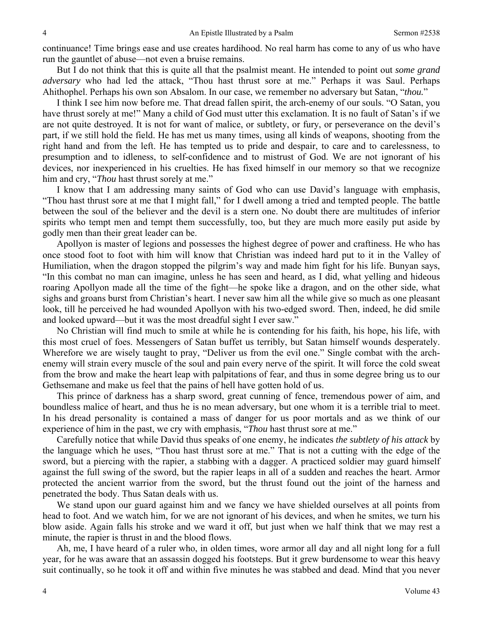continuance! Time brings ease and use creates hardihood. No real harm has come to any of us who have run the gauntlet of abuse—not even a bruise remains.

But I do not think that this is quite all that the psalmist meant. He intended to point out *some grand adversary* who had led the attack, "Thou hast thrust sore at me." Perhaps it was Saul. Perhaps Ahithophel. Perhaps his own son Absalom. In our case, we remember no adversary but Satan, "*thou.*"

I think I see him now before me. That dread fallen spirit, the arch-enemy of our souls. "O Satan, you have thrust sorely at me!" Many a child of God must utter this exclamation. It is no fault of Satan's if we are not quite destroyed. It is not for want of malice, or subtlety, or fury, or perseverance on the devil's part, if we still hold the field. He has met us many times, using all kinds of weapons, shooting from the right hand and from the left. He has tempted us to pride and despair, to care and to carelessness, to presumption and to idleness, to self-confidence and to mistrust of God. We are not ignorant of his devices, nor inexperienced in his cruelties. He has fixed himself in our memory so that we recognize him and cry, "*Thou* hast thrust sorely at me."

I know that I am addressing many saints of God who can use David's language with emphasis, "Thou hast thrust sore at me that I might fall," for I dwell among a tried and tempted people. The battle between the soul of the believer and the devil is a stern one. No doubt there are multitudes of inferior spirits who tempt men and tempt them successfully, too, but they are much more easily put aside by godly men than their great leader can be.

Apollyon is master of legions and possesses the highest degree of power and craftiness. He who has once stood foot to foot with him will know that Christian was indeed hard put to it in the Valley of Humiliation, when the dragon stopped the pilgrim's way and made him fight for his life. Bunyan says, "In this combat no man can imagine, unless he has seen and heard, as I did, what yelling and hideous roaring Apollyon made all the time of the fight—he spoke like a dragon, and on the other side, what sighs and groans burst from Christian's heart. I never saw him all the while give so much as one pleasant look, till he perceived he had wounded Apollyon with his two-edged sword. Then, indeed, he did smile and looked upward—but it was the most dreadful sight I ever saw."

No Christian will find much to smile at while he is contending for his faith, his hope, his life, with this most cruel of foes. Messengers of Satan buffet us terribly, but Satan himself wounds desperately. Wherefore we are wisely taught to pray, "Deliver us from the evil one." Single combat with the archenemy will strain every muscle of the soul and pain every nerve of the spirit. It will force the cold sweat from the brow and make the heart leap with palpitations of fear, and thus in some degree bring us to our Gethsemane and make us feel that the pains of hell have gotten hold of us.

This prince of darkness has a sharp sword, great cunning of fence, tremendous power of aim, and boundless malice of heart, and thus he is no mean adversary, but one whom it is a terrible trial to meet. In his dread personality is contained a mass of danger for us poor mortals and as we think of our experience of him in the past, we cry with emphasis, "*Thou* hast thrust sore at me."

Carefully notice that while David thus speaks of one enemy, he indicates *the subtlety of his attack* by the language which he uses, "Thou hast thrust sore at me." That is not a cutting with the edge of the sword, but a piercing with the rapier, a stabbing with a dagger. A practiced soldier may guard himself against the full swing of the sword, but the rapier leaps in all of a sudden and reaches the heart. Armor protected the ancient warrior from the sword, but the thrust found out the joint of the harness and penetrated the body. Thus Satan deals with us.

We stand upon our guard against him and we fancy we have shielded ourselves at all points from head to foot. And we watch him, for we are not ignorant of his devices, and when he smites, we turn his blow aside. Again falls his stroke and we ward it off, but just when we half think that we may rest a minute, the rapier is thrust in and the blood flows.

Ah, me, I have heard of a ruler who, in olden times, wore armor all day and all night long for a full year, for he was aware that an assassin dogged his footsteps. But it grew burdensome to wear this heavy suit continually, so he took it off and within five minutes he was stabbed and dead. Mind that you never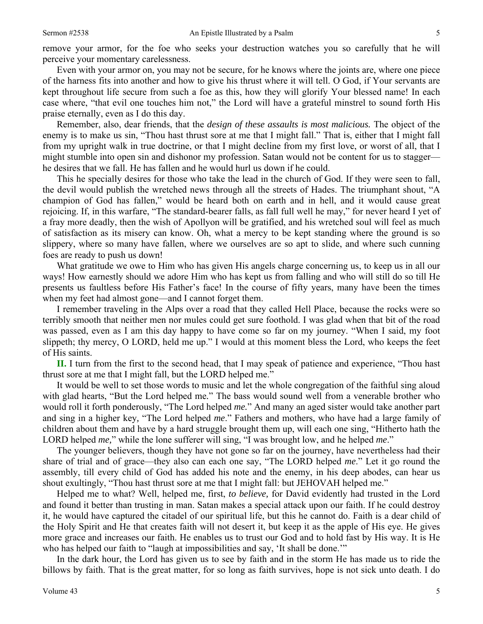remove your armor, for the foe who seeks your destruction watches you so carefully that he will perceive your momentary carelessness.

Even with your armor on, you may not be secure, for he knows where the joints are, where one piece of the harness fits into another and how to give his thrust where it will tell. O God, if Your servants are kept throughout life secure from such a foe as this, how they will glorify Your blessed name! In each case where, "that evil one touches him not," the Lord will have a grateful minstrel to sound forth His praise eternally, even as I do this day.

Remember, also, dear friends, that the *design of these assaults is most malicious.* The object of the enemy is to make us sin, "Thou hast thrust sore at me that I might fall." That is, either that I might fall from my upright walk in true doctrine, or that I might decline from my first love, or worst of all, that I might stumble into open sin and dishonor my profession. Satan would not be content for us to stagger he desires that we fall. He has fallen and he would hurl us down if he could.

This he specially desires for those who take the lead in the church of God. If they were seen to fall, the devil would publish the wretched news through all the streets of Hades. The triumphant shout, "A champion of God has fallen," would be heard both on earth and in hell, and it would cause great rejoicing. If, in this warfare, "The standard-bearer falls, as fall full well he may," for never heard I yet of a fray more deadly, then the wish of Apollyon will be gratified, and his wretched soul will feel as much of satisfaction as its misery can know. Oh, what a mercy to be kept standing where the ground is so slippery, where so many have fallen, where we ourselves are so apt to slide, and where such cunning foes are ready to push us down!

What gratitude we owe to Him who has given His angels charge concerning us, to keep us in all our ways! How earnestly should we adore Him who has kept us from falling and who will still do so till He presents us faultless before His Father's face! In the course of fifty years, many have been the times when my feet had almost gone—and I cannot forget them.

I remember traveling in the Alps over a road that they called Hell Place, because the rocks were so terribly smooth that neither men nor mules could get sure foothold. I was glad when that bit of the road was passed, even as I am this day happy to have come so far on my journey. "When I said, my foot slippeth; thy mercy, O LORD, held me up." I would at this moment bless the Lord, who keeps the feet of His saints.

**II.** I turn from the first to the second head, that I may speak of patience and experience, "Thou hast thrust sore at me that I might fall, but the LORD helped me."

It would be well to set those words to music and let the whole congregation of the faithful sing aloud with glad hearts, "But the Lord helped me*.*" The bass would sound well from a venerable brother who would roll it forth ponderously, "The Lord helped *me.*" And many an aged sister would take another part and sing in a higher key*,* "The Lord helped *me*." Fathers and mothers, who have had a large family of children about them and have by a hard struggle brought them up, will each one sing, "Hitherto hath the LORD helped *me,*" while the lone sufferer will sing, "I was brought low, and he helped *me*."

The younger believers, though they have not gone so far on the journey, have nevertheless had their share of trial and of grace—they also can each one say, "The LORD helped *me*." Let it go round the assembly, till every child of God has added his note and the enemy, in his deep abodes, can hear us shout exultingly, "Thou hast thrust sore at me that I might fall: but JEHOVAH helped me."

Helped me to what? Well, helped me, first, *to believe,* for David evidently had trusted in the Lord and found it better than trusting in man. Satan makes a special attack upon our faith. If he could destroy it, he would have captured the citadel of our spiritual life, but this he cannot do. Faith is a dear child of the Holy Spirit and He that creates faith will not desert it, but keep it as the apple of His eye. He gives more grace and increases our faith. He enables us to trust our God and to hold fast by His way. It is He who has helped our faith to "laugh at impossibilities and say, 'It shall be done."

In the dark hour, the Lord has given us to see by faith and in the storm He has made us to ride the billows by faith. That is the great matter, for so long as faith survives, hope is not sick unto death. I do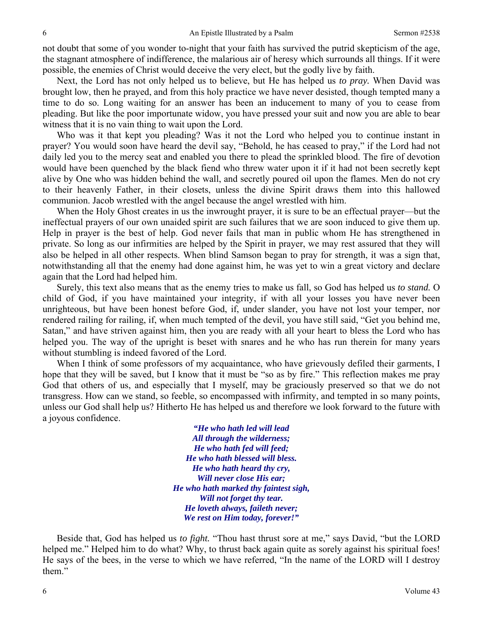not doubt that some of you wonder to-night that your faith has survived the putrid skepticism of the age, the stagnant atmosphere of indifference, the malarious air of heresy which surrounds all things. If it were possible, the enemies of Christ would deceive the very elect, but the godly live by faith.

Next, the Lord has not only helped us to believe, but He has helped us *to pray.* When David was brought low, then he prayed, and from this holy practice we have never desisted, though tempted many a time to do so. Long waiting for an answer has been an inducement to many of you to cease from pleading. But like the poor importunate widow, you have pressed your suit and now you are able to bear witness that it is no vain thing to wait upon the Lord.

Who was it that kept you pleading? Was it not the Lord who helped you to continue instant in prayer? You would soon have heard the devil say, "Behold, he has ceased to pray," if the Lord had not daily led you to the mercy seat and enabled you there to plead the sprinkled blood. The fire of devotion would have been quenched by the black fiend who threw water upon it if it had not been secretly kept alive by One who was hidden behind the wall, and secretly poured oil upon the flames. Men do not cry to their heavenly Father, in their closets, unless the divine Spirit draws them into this hallowed communion. Jacob wrestled with the angel because the angel wrestled with him.

When the Holy Ghost creates in us the inwrought prayer, it is sure to be an effectual prayer—but the ineffectual prayers of our own unaided spirit are such failures that we are soon induced to give them up. Help in prayer is the best of help. God never fails that man in public whom He has strengthened in private. So long as our infirmities are helped by the Spirit in prayer, we may rest assured that they will also be helped in all other respects. When blind Samson began to pray for strength, it was a sign that, notwithstanding all that the enemy had done against him, he was yet to win a great victory and declare again that the Lord had helped him.

Surely, this text also means that as the enemy tries to make us fall, so God has helped us *to stand.* O child of God, if you have maintained your integrity, if with all your losses you have never been unrighteous, but have been honest before God, if, under slander, you have not lost your temper, nor rendered railing for railing, if, when much tempted of the devil, you have still said, "Get you behind me, Satan," and have striven against him, then you are ready with all your heart to bless the Lord who has helped you. The way of the upright is beset with snares and he who has run therein for many years without stumbling is indeed favored of the Lord.

When I think of some professors of my acquaintance, who have grievously defiled their garments, I hope that they will be saved, but I know that it must be "so as by fire." This reflection makes me pray God that others of us, and especially that I myself, may be graciously preserved so that we do not transgress. How can we stand, so feeble, so encompassed with infirmity, and tempted in so many points, unless our God shall help us? Hitherto He has helped us and therefore we look forward to the future with a joyous confidence.

> *"He who hath led will lead All through the wilderness; He who hath fed will feed; He who hath blessed will bless. He who hath heard thy cry, Will never close His ear; He who hath marked thy faintest sigh, Will not forget thy tear. He loveth always, faileth never; We rest on Him today, forever!"*

Beside that, God has helped us *to fight.* "Thou hast thrust sore at me," says David, "but the LORD helped me." Helped him to do what? Why, to thrust back again quite as sorely against his spiritual foes! He says of the bees, in the verse to which we have referred, "In the name of the LORD will I destroy them."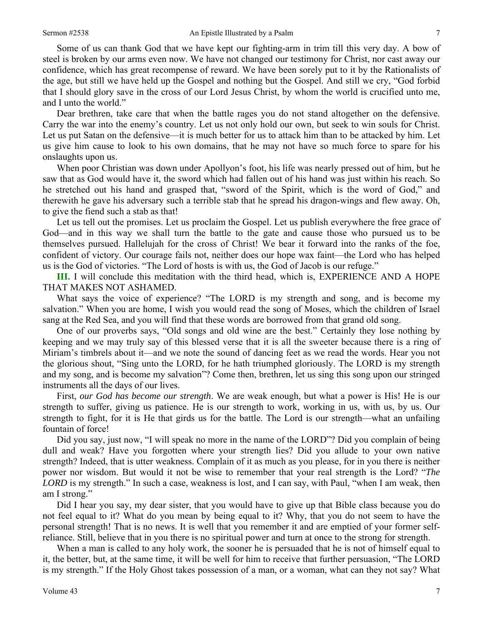Some of us can thank God that we have kept our fighting-arm in trim till this very day. A bow of steel is broken by our arms even now. We have not changed our testimony for Christ, nor cast away our confidence, which has great recompense of reward. We have been sorely put to it by the Rationalists of the age, but still we have held up the Gospel and nothing but the Gospel. And still we cry, "God forbid that I should glory save in the cross of our Lord Jesus Christ, by whom the world is crucified unto me, and I unto the world."

Dear brethren, take care that when the battle rages you do not stand altogether on the defensive. Carry the war into the enemy's country. Let us not only hold our own, but seek to win souls for Christ. Let us put Satan on the defensive—it is much better for us to attack him than to be attacked by him. Let us give him cause to look to his own domains, that he may not have so much force to spare for his onslaughts upon us.

When poor Christian was down under Apollyon's foot, his life was nearly pressed out of him, but he saw that as God would have it, the sword which had fallen out of his hand was just within his reach. So he stretched out his hand and grasped that, "sword of the Spirit, which is the word of God," and therewith he gave his adversary such a terrible stab that he spread his dragon-wings and flew away. Oh, to give the fiend such a stab as that!

Let us tell out the promises. Let us proclaim the Gospel. Let us publish everywhere the free grace of God—and in this way we shall turn the battle to the gate and cause those who pursued us to be themselves pursued. Hallelujah for the cross of Christ! We bear it forward into the ranks of the foe, confident of victory. Our courage fails not, neither does our hope wax faint—the Lord who has helped us is the God of victories. "The Lord of hosts is with us, the God of Jacob is our refuge."

**III.** I will conclude this meditation with the third head, which is, EXPERIENCE AND A HOPE THAT MAKES NOT ASHAMED.

What says the voice of experience? "The LORD is my strength and song, and is become my salvation." When you are home, I wish you would read the song of Moses, which the children of Israel sang at the Red Sea, and you will find that these words are borrowed from that grand old song.

One of our proverbs says, "Old songs and old wine are the best." Certainly they lose nothing by keeping and we may truly say of this blessed verse that it is all the sweeter because there is a ring of Miriam's timbrels about it—and we note the sound of dancing feet as we read the words. Hear you not the glorious shout, "Sing unto the LORD, for he hath triumphed gloriously. The LORD is my strength and my song, and is become my salvation"? Come then, brethren, let us sing this song upon our stringed instruments all the days of our lives.

First, *our God has become our strength*. We are weak enough, but what a power is His! He is our strength to suffer, giving us patience. He is our strength to work, working in us, with us, by us. Our strength to fight, for it is He that girds us for the battle. The Lord is our strength—what an unfailing fountain of force!

Did you say, just now, "I will speak no more in the name of the LORD"? Did you complain of being dull and weak? Have you forgotten where your strength lies? Did you allude to your own native strength? Indeed, that is utter weakness. Complain of it as much as you please, for in you there is neither power nor wisdom. But would it not be wise to remember that your real strength is the Lord? "*The LORD* is my strength." In such a case, weakness is lost, and I can say, with Paul, "when I am weak, then am I strong."

Did I hear you say, my dear sister, that you would have to give up that Bible class because you do not feel equal to it? What do you mean by being equal to it? Why, that you do not seem to have the personal strength! That is no news. It is well that you remember it and are emptied of your former selfreliance. Still, believe that in you there is no spiritual power and turn at once to the strong for strength.

When a man is called to any holy work, the sooner he is persuaded that he is not of himself equal to it, the better, but, at the same time, it will be well for him to receive that further persuasion, "The LORD is my strength." If the Holy Ghost takes possession of a man, or a woman, what can they not say? What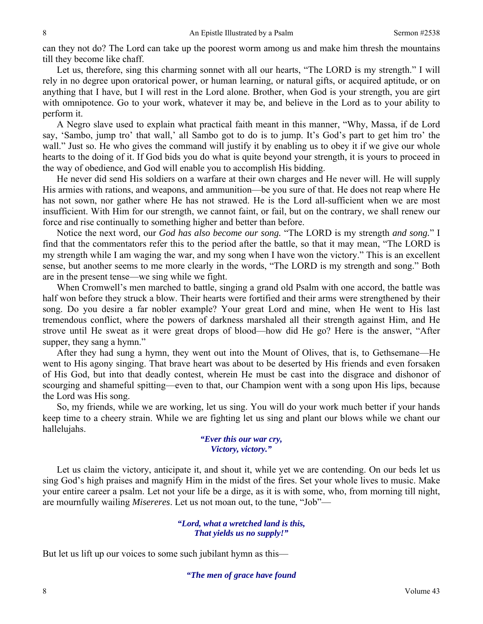can they not do? The Lord can take up the poorest worm among us and make him thresh the mountains till they become like chaff.

Let us, therefore, sing this charming sonnet with all our hearts, "The LORD is my strength." I will rely in no degree upon oratorical power, or human learning, or natural gifts, or acquired aptitude, or on anything that I have, but I will rest in the Lord alone. Brother, when God is your strength, you are girt with omnipotence. Go to your work, whatever it may be, and believe in the Lord as to your ability to perform it.

A Negro slave used to explain what practical faith meant in this manner, "Why, Massa, if de Lord say, 'Sambo, jump tro' that wall,' all Sambo got to do is to jump. It's God's part to get him tro' the wall." Just so. He who gives the command will justify it by enabling us to obey it if we give our whole hearts to the doing of it. If God bids you do what is quite beyond your strength, it is yours to proceed in the way of obedience, and God will enable you to accomplish His bidding.

He never did send His soldiers on a warfare at their own charges and He never will. He will supply His armies with rations, and weapons, and ammunition—be you sure of that. He does not reap where He has not sown, nor gather where He has not strawed. He is the Lord all-sufficient when we are most insufficient. With Him for our strength, we cannot faint, or fail, but on the contrary, we shall renew our force and rise continually to something higher and better than before.

Notice the next word, our *God has also become our song.* "The LORD is my strength *and song.*" I find that the commentators refer this to the period after the battle, so that it may mean, "The LORD is my strength while I am waging the war, and my song when I have won the victory." This is an excellent sense, but another seems to me more clearly in the words, "The LORD is my strength and song." Both are in the present tense—we sing while we fight.

When Cromwell's men marched to battle, singing a grand old Psalm with one accord, the battle was half won before they struck a blow. Their hearts were fortified and their arms were strengthened by their song. Do you desire a far nobler example? Your great Lord and mine, when He went to His last tremendous conflict, where the powers of darkness marshaled all their strength against Him, and He strove until He sweat as it were great drops of blood—how did He go? Here is the answer, "After supper, they sang a hymn."

After they had sung a hymn, they went out into the Mount of Olives, that is, to Gethsemane—He went to His agony singing. That brave heart was about to be deserted by His friends and even forsaken of His God, but into that deadly contest, wherein He must be cast into the disgrace and dishonor of scourging and shameful spitting—even to that, our Champion went with a song upon His lips, because the Lord was His song.

So, my friends, while we are working, let us sing. You will do your work much better if your hands keep time to a cheery strain. While we are fighting let us sing and plant our blows while we chant our hallelujahs.

#### *"Ever this our war cry, Victory, victory."*

Let us claim the victory, anticipate it, and shout it, while yet we are contending. On our beds let us sing God's high praises and magnify Him in the midst of the fires. Set your whole lives to music. Make your entire career a psalm. Let not your life be a dirge, as it is with some, who, from morning till night, are mournfully wailing *Misereres*. Let us not moan out, to the tune, "Job"—

### *"Lord, what a wretched land is this, That yields us no supply!"*

But let us lift up our voices to some such jubilant hymn as this—

#### *"The men of grace have found*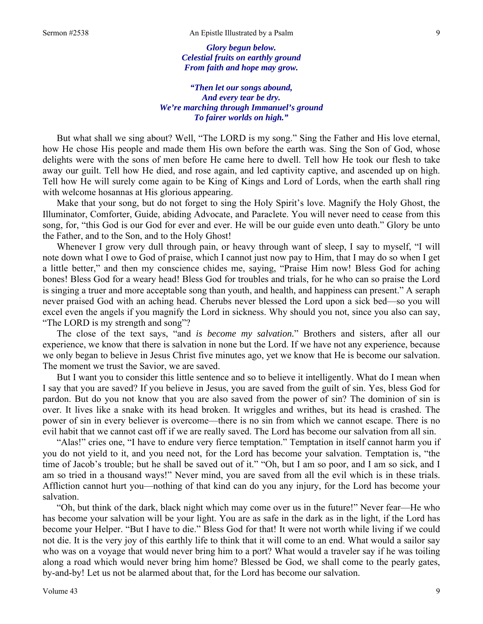*Glory begun below. Celestial fruits on earthly ground From faith and hope may grow.* 

*"Then let our songs abound, And every tear be dry. We're marching through Immanuel's ground To fairer worlds on high."* 

But what shall we sing about? Well, "The LORD is my song." Sing the Father and His love eternal, how He chose His people and made them His own before the earth was. Sing the Son of God, whose delights were with the sons of men before He came here to dwell. Tell how He took our flesh to take away our guilt. Tell how He died, and rose again, and led captivity captive, and ascended up on high. Tell how He will surely come again to be King of Kings and Lord of Lords, when the earth shall ring with welcome hosannas at His glorious appearing.

Make that your song, but do not forget to sing the Holy Spirit's love. Magnify the Holy Ghost, the Illuminator, Comforter, Guide, abiding Advocate, and Paraclete. You will never need to cease from this song, for, "this God is our God for ever and ever. He will be our guide even unto death." Glory be unto the Father, and to the Son, and to the Holy Ghost!

Whenever I grow very dull through pain, or heavy through want of sleep, I say to myself, "I will note down what I owe to God of praise, which I cannot just now pay to Him, that I may do so when I get a little better," and then my conscience chides me, saying, "Praise Him now! Bless God for aching bones! Bless God for a weary head! Bless God for troubles and trials, for he who can so praise the Lord is singing a truer and more acceptable song than youth, and health, and happiness can present." A seraph never praised God with an aching head. Cherubs never blessed the Lord upon a sick bed—so you will excel even the angels if you magnify the Lord in sickness. Why should you not, since you also can say, "The LORD is my strength and song"?

The close of the text says, "and *is become my salvation.*" Brothers and sisters, after all our experience, we know that there is salvation in none but the Lord. If we have not any experience, because we only began to believe in Jesus Christ five minutes ago, yet we know that He is become our salvation. The moment we trust the Savior, we are saved.

But I want you to consider this little sentence and so to believe it intelligently. What do I mean when I say that you are saved? If you believe in Jesus, you are saved from the guilt of sin. Yes, bless God for pardon. But do you not know that you are also saved from the power of sin? The dominion of sin is over. It lives like a snake with its head broken. It wriggles and writhes, but its head is crashed. The power of sin in every believer is overcome—there is no sin from which we cannot escape. There is no evil habit that we cannot cast off if we are really saved. The Lord has become our salvation from all sin.

"Alas!" cries one, "I have to endure very fierce temptation." Temptation in itself cannot harm you if you do not yield to it, and you need not, for the Lord has become your salvation. Temptation is, "the time of Jacob's trouble; but he shall be saved out of it." "Oh, but I am so poor, and I am so sick, and I am so tried in a thousand ways!" Never mind, you are saved from all the evil which is in these trials. Affliction cannot hurt you—nothing of that kind can do you any injury, for the Lord has become your salvation.

"Oh, but think of the dark, black night which may come over us in the future!" Never fear—He who has become your salvation will be your light. You are as safe in the dark as in the light, if the Lord has become your Helper. "But I have to die." Bless God for that! It were not worth while living if we could not die. It is the very joy of this earthly life to think that it will come to an end. What would a sailor say who was on a voyage that would never bring him to a port? What would a traveler say if he was toiling along a road which would never bring him home? Blessed be God, we shall come to the pearly gates, by-and-by! Let us not be alarmed about that, for the Lord has become our salvation.